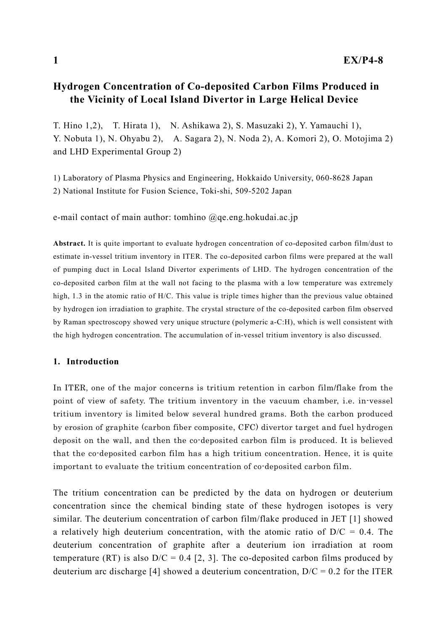# Hydrogen Concentration of Co-deposited Carbon Films Produced in the Vicinity of Local Island Divertor in Large Helical Device

T. Hino 1,2), T. Hirata 1), N. Ashikawa 2), S. Masuzaki 2), Y. Yamauchi 1), Y. Nobuta 1), N. Ohyabu 2), A. Sagara 2), N. Noda 2), A. Komori 2), O. Motojima 2) and LHD Experimental Group 2)

1) Laboratory of Plasma Physics and Engineering, Hokkaido University, 060-8628 Japan 2) National Institute for Fusion Science, Toki-shi, 509-5202 Japan

e-mail contact of main author: tomhino @qe.eng.hokudai.ac.jp

Abstract. It is quite important to evaluate hydrogen concentration of co-deposited carbon film/dust to estimate in-vessel tritium inventory in ITER. The co-deposited carbon films were prepared at the wall of pumping duct in Local Island Divertor experiments of LHD. The hydrogen concentration of the co-deposited carbon film at the wall not facing to the plasma with a low temperature was extremely high, 1.3 in the atomic ratio of H/C. This value is triple times higher than the previous value obtained by hydrogen ion irradiation to graphite. The crystal structure of the co-deposited carbon film observed by Raman spectroscopy showed very unique structure (polymeric a-C:H), which is well consistent with the high hydrogen concentration. The accumulation of in-vessel tritium inventory is also discussed.

#### 1. Introduction

In ITER, one of the major concerns is tritium retention in carbon film/flake from the point of view of safety. The tritium inventory in the vacuum chamber, i.e. in-vessel tritium inventory is limited below several hundred grams. Both the carbon produced by erosion of graphite (carbon fiber composite, CFC) divertor target and fuel hydrogen deposit on the wall, and then the co-deposited carbon film is produced. It is believed that the co-deposited carbon film has a high tritium concentration. Hence, it is quite important to evaluate the tritium concentration of co-deposited carbon film.

The tritium concentration can be predicted by the data on hydrogen or deuterium concentration since the chemical binding state of these hydrogen isotopes is very similar. The deuterium concentration of carbon film/flake produced in JET [1] showed a relatively high deuterium concentration, with the atomic ratio of  $D/C = 0.4$ . The deuterium concentration of graphite after a deuterium ion irradiation at room temperature (RT) is also  $D/C = 0.4$  [2, 3]. The co-deposited carbon films produced by deuterium arc discharge [4] showed a deuterium concentration,  $D/C = 0.2$  for the ITER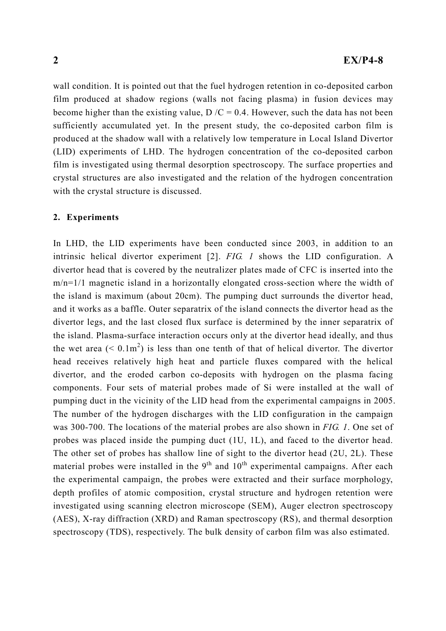wall condition. It is pointed out that the fuel hydrogen retention in co-deposited carbon film produced at shadow regions (walls not facing plasma) in fusion devices may become higher than the existing value,  $D/C = 0.4$ . However, such the data has not been sufficiently accumulated yet. In the present study, the co-deposited carbon film is produced at the shadow wall with a relatively low temperature in Local Island Divertor (LID) experiments of LHD. The hydrogen concentration of the co-deposited carbon film is investigated using thermal desorption spectroscopy. The surface properties and crystal structures are also investigated and the relation of the hydrogen concentration with the crystal structure is discussed.

#### 2. Experiments

In LHD, the LID experiments have been conducted since 2003, in addition to an intrinsic helical divertor experiment [2]. FIG. 1 shows the LID configuration. A divertor head that is covered by the neutralizer plates made of CFC is inserted into the m/n=1/1 magnetic island in a horizontally elongated cross-section where the width of the island is maximum (about 20cm). The pumping duct surrounds the divertor head, and it works as a baffle. Outer separatrix of the island connects the divertor head as the divertor legs, and the last closed flux surface is determined by the inner separatrix of the island. Plasma-surface interaction occurs only at the divertor head ideally, and thus the wet area ( $\leq 0.1 \text{m}^2$ ) is less than one tenth of that of helical divertor. The divertor head receives relatively high heat and particle fluxes compared with the helical divertor, and the eroded carbon co-deposits with hydrogen on the plasma facing components. Four sets of material probes made of Si were installed at the wall of pumping duct in the vicinity of the LID head from the experimental campaigns in 2005. The number of the hydrogen discharges with the LID configuration in the campaign was 300-700. The locations of the material probes are also shown in FIG. 1. One set of probes was placed inside the pumping duct (1U, 1L), and faced to the divertor head. The other set of probes has shallow line of sight to the divertor head (2U, 2L). These material probes were installed in the  $9<sup>th</sup>$  and  $10<sup>th</sup>$  experimental campaigns. After each the experimental campaign, the probes were extracted and their surface morphology, depth profiles of atomic composition, crystal structure and hydrogen retention were investigated using scanning electron microscope (SEM), Auger electron spectroscopy (AES), X-ray diffraction (XRD) and Raman spectroscopy (RS), and thermal desorption spectroscopy (TDS), respectively. The bulk density of carbon film was also estimated.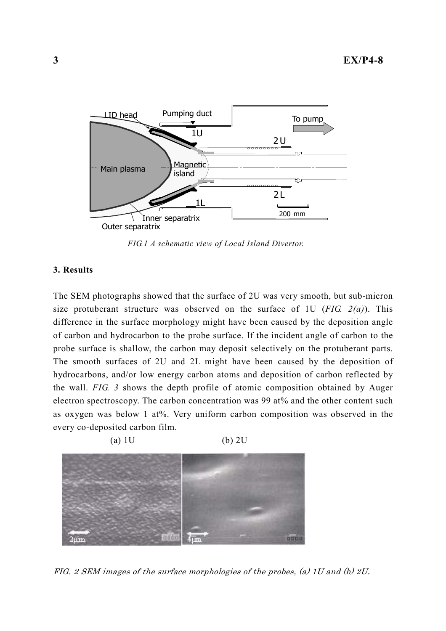

FIG.1 A schematic view of Local Island Divertor.

### 3. Results

The SEM photographs showed that the surface of 2U was very smooth, but sub-micron size protuberant structure was observed on the surface of 1U ( $FIG. 2(a)$ ). This difference in the surface morphology might have been caused by the deposition angle of carbon and hydrocarbon to the probe surface. If the incident angle of carbon to the probe surface is shallow, the carbon may deposit selectively on the protuberant parts. The smooth surfaces of 2U and 2L might have been caused by the deposition of hydrocarbons, and/or low energy carbon atoms and deposition of carbon reflected by the wall. FIG. 3 shows the depth profile of atomic composition obtained by Auger electron spectroscopy. The carbon concentration was 99 at% and the other content such as oxygen was below 1 at%. Very uniform carbon composition was observed in the every co-deposited carbon film.



FIG. 2 SEM images of the surface morphologies of the probes, (a) 1U and (b) 2U.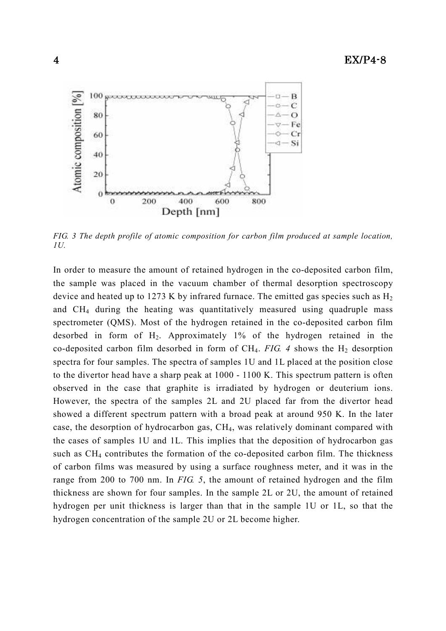

FIG. 3 The depth profile of atomic composition for carbon film produced at sample location, 1U.

In order to measure the amount of retained hydrogen in the co-deposited carbon film, the sample was placed in the vacuum chamber of thermal desorption spectroscopy device and heated up to 1273 K by infrared furnace. The emitted gas species such as  $H_2$ and CH4 during the heating was quantitatively measured using quadruple mass spectrometer (QMS). Most of the hydrogen retained in the co-deposited carbon film desorbed in form of  $H_2$ . Approximately 1% of the hydrogen retained in the co-deposited carbon film desorbed in form of CH<sub>4</sub>. FIG. 4 shows the H<sub>2</sub> desorption spectra for four samples. The spectra of samples 1U and 1L placed at the position close to the divertor head have a sharp peak at 1000 - 1100 K. This spectrum pattern is often observed in the case that graphite is irradiated by hydrogen or deuterium ions. However, the spectra of the samples 2L and 2U placed far from the divertor head showed a different spectrum pattern with a broad peak at around 950 K. In the later case, the desorption of hydrocarbon gas, CH4, was relatively dominant compared with the cases of samples 1U and 1L. This implies that the deposition of hydrocarbon gas such as CH4 contributes the formation of the co-deposited carbon film. The thickness of carbon films was measured by using a surface roughness meter, and it was in the range from 200 to 700 nm. In FIG. 5, the amount of retained hydrogen and the film thickness are shown for four samples. In the sample 2L or 2U, the amount of retained hydrogen per unit thickness is larger than that in the sample 1U or 1L, so that the hydrogen concentration of the sample 2U or 2L become higher.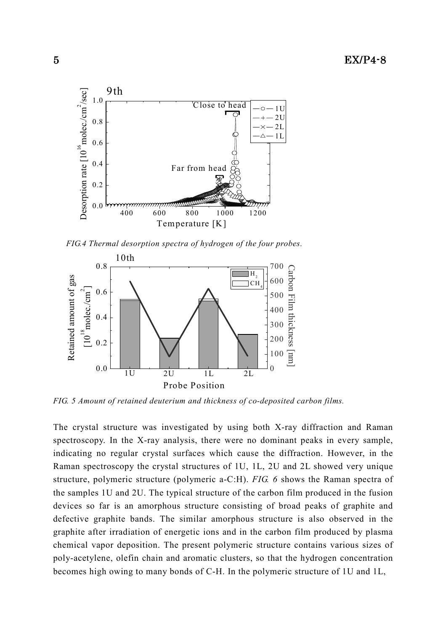

FIG.4 Thermal desorption spectra of hydrogen of the four probes.



FIG. 5 Amount of retained deuterium and thickness of co-deposited carbon films.

The crystal structure was investigated by using both X-ray diffraction and Raman spectroscopy. In the X-ray analysis, there were no dominant peaks in every sample, indicating no regular crystal surfaces which cause the diffraction. However, in the Raman spectroscopy the crystal structures of 1U, 1L, 2U and 2L showed very unique structure, polymeric structure (polymeric a-C:H). FIG. 6 shows the Raman spectra of the samples 1U and 2U. The typical structure of the carbon film produced in the fusion devices so far is an amorphous structure consisting of broad peaks of graphite and defective graphite bands. The similar amorphous structure is also observed in the graphite after irradiation of energetic ions and in the carbon film produced by plasma chemical vapor deposition. The present polymeric structure contains various sizes of poly-acetylene, olefin chain and aromatic clusters, so that the hydrogen concentration becomes high owing to many bonds of C-H. In the polymeric structure of 1U and 1L,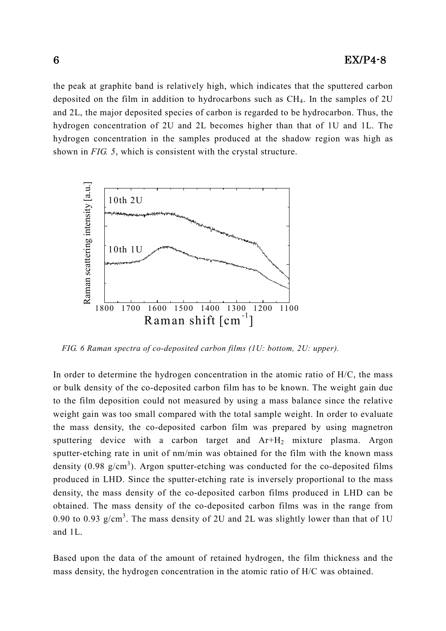the peak at graphite band is relatively high, which indicates that the sputtered carbon deposited on the film in addition to hydrocarbons such as  $CH<sub>4</sub>$ . In the samples of 2U and 2L, the major deposited species of carbon is regarded to be hydrocarbon. Thus, the hydrogen concentration of 2U and 2L becomes higher than that of 1U and 1L. The hydrogen concentration in the samples produced at the shadow region was high as shown in FIG. 5, which is consistent with the crystal structure.



FIG. 6 Raman spectra of co-deposited carbon films (1U: bottom, 2U: upper).

In order to determine the hydrogen concentration in the atomic ratio of H/C, the mass or bulk density of the co-deposited carbon film has to be known. The weight gain due to the film deposition could not measured by using a mass balance since the relative weight gain was too small compared with the total sample weight. In order to evaluate the mass density, the co-deposited carbon film was prepared by using magnetron sputtering device with a carbon target and  $Ar+H<sub>2</sub>$  mixture plasma. Argon sputter-etching rate in unit of nm/min was obtained for the film with the known mass density (0.98  $g/cm<sup>3</sup>$ ). Argon sputter-etching was conducted for the co-deposited films produced in LHD. Since the sputter-etching rate is inversely proportional to the mass density, the mass density of the co-deposited carbon films produced in LHD can be obtained. The mass density of the co-deposited carbon films was in the range from 0.90 to 0.93  $g/cm<sup>3</sup>$ . The mass density of 2U and 2L was slightly lower than that of 1U and 1L.

Based upon the data of the amount of retained hydrogen, the film thickness and the mass density, the hydrogen concentration in the atomic ratio of H/C was obtained.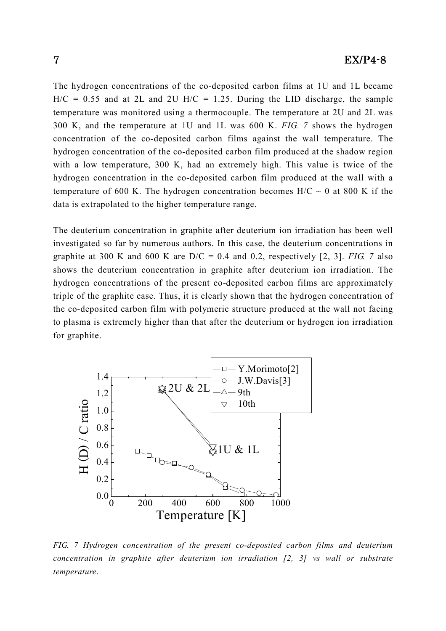The hydrogen concentrations of the co-deposited carbon films at 1U and 1L became  $H/C = 0.55$  and at 2L and 2U  $H/C = 1.25$ . During the LID discharge, the sample temperature was monitored using a thermocouple. The temperature at 2U and 2L was 300 K, and the temperature at 1U and 1L was 600 K. FIG. 7 shows the hydrogen concentration of the co-deposited carbon films against the wall temperature. The hydrogen concentration of the co-deposited carbon film produced at the shadow region with a low temperature, 300 K, had an extremely high. This value is twice of the hydrogen concentration in the co-deposited carbon film produced at the wall with a temperature of 600 K. The hydrogen concentration becomes  $H/C \sim 0$  at 800 K if the data is extrapolated to the higher temperature range.

The deuterium concentration in graphite after deuterium ion irradiation has been well investigated so far by numerous authors. In this case, the deuterium concentrations in graphite at 300 K and 600 K are  $D/C = 0.4$  and 0.2, respectively [2, 3]. FIG. 7 also shows the deuterium concentration in graphite after deuterium ion irradiation. The hydrogen concentrations of the present co-deposited carbon films are approximately triple of the graphite case. Thus, it is clearly shown that the hydrogen concentration of the co-deposited carbon film with polymeric structure produced at the wall not facing to plasma is extremely higher than that after the deuterium or hydrogen ion irradiation for graphite.



FIG. 7 Hydrogen concentration of the present co-deposited carbon films and deuterium concentration in graphite after deuterium ion irradiation  $[2, 3]$  vs wall or substrate temperature.